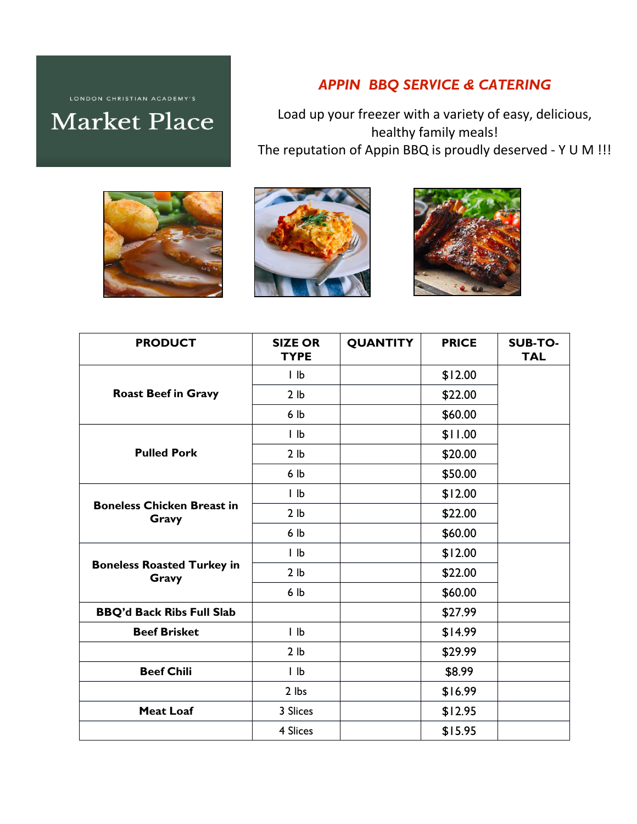## *APPIN BBQ SERVICE & CATERING*

Load up your freezer with a variety of easy, delicious, healthy family meals! The reputation of Appin BBQ is proudly deserved - Y U M !!!







| <b>PRODUCT</b>                             | <b>SIZE OR</b><br><b>TYPE</b> | <b>QUANTITY</b> | <b>PRICE</b> | <b>SUB-TO-</b><br><b>TAL</b> |
|--------------------------------------------|-------------------------------|-----------------|--------------|------------------------------|
| <b>Roast Beef in Gravy</b>                 | $l$ $lb$                      |                 | \$12.00      |                              |
|                                            | 2 lb                          |                 | \$22.00      |                              |
|                                            | 6 lb                          |                 | \$60.00      |                              |
| <b>Pulled Pork</b>                         | $l$ $lb$                      |                 | \$11.00      |                              |
|                                            | 2 <sub>lb</sub>               |                 | \$20.00      |                              |
|                                            | 6 <sub>lb</sub>               |                 | \$50.00      |                              |
| <b>Boneless Chicken Breast in</b><br>Gravy | $l$ $lb$                      |                 | \$12.00      |                              |
|                                            | 2 <sub>1b</sub>               |                 | \$22.00      |                              |
|                                            | 6 lb                          |                 | \$60.00      |                              |
| <b>Boneless Roasted Turkey in</b><br>Gravy | $ $ $ $                       |                 | \$12.00      |                              |
|                                            | 2 <sub>lb</sub>               |                 | \$22.00      |                              |
|                                            | 6 lb                          |                 | \$60.00      |                              |
| <b>BBQ'd Back Ribs Full Slab</b>           |                               |                 | \$27.99      |                              |
| <b>Beef Brisket</b>                        | $l$ $lb$                      |                 | \$14.99      |                              |
|                                            | 2 <sub>lb</sub>               |                 | \$29.99      |                              |
| <b>Beef Chili</b>                          | $l$ $lb$                      |                 | \$8.99       |                              |
|                                            | 2 lbs                         |                 | \$16.99      |                              |
| <b>Meat Loaf</b>                           | 3 Slices                      |                 | \$12.95      |                              |
|                                            | 4 Slices                      |                 | \$15.95      |                              |

LONDON CHRISTIAN ACADEMY'S **Market Place**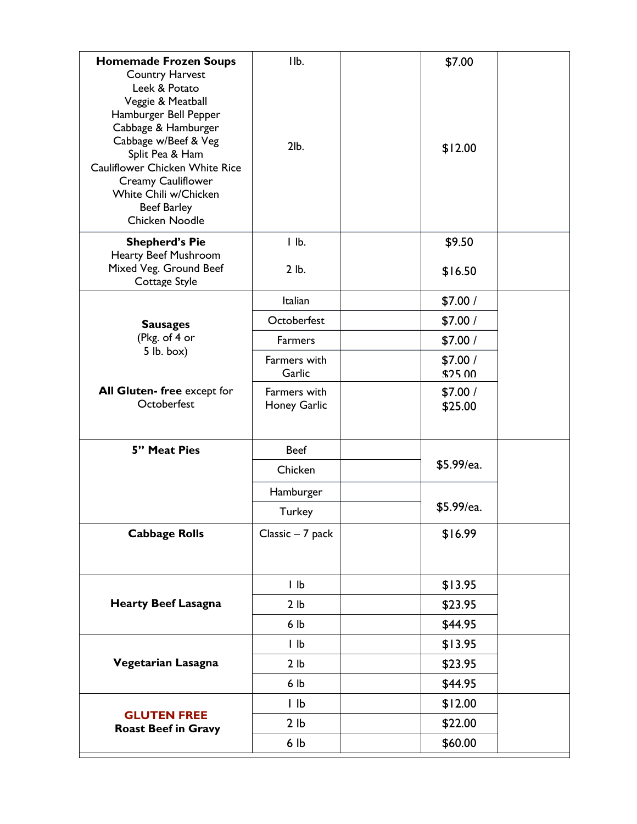| <b>Homemade Frozen Soups</b>                     | IIb.                         | \$7.00     |
|--------------------------------------------------|------------------------------|------------|
| <b>Country Harvest</b>                           |                              |            |
| Leek & Potato                                    |                              |            |
| Veggie & Meatball                                |                              |            |
| Hamburger Bell Pepper<br>Cabbage & Hamburger     |                              |            |
| Cabbage w/Beef & Veg                             | 2lb.                         |            |
| Split Pea & Ham                                  |                              | \$12.00    |
| Cauliflower Chicken White Rice                   |                              |            |
| Creamy Cauliflower<br>White Chili w/Chicken      |                              |            |
| <b>Beef Barley</b>                               |                              |            |
| Chicken Noodle                                   |                              |            |
| <b>Shepherd's Pie</b>                            | $l$ $lb$ .                   | \$9.50     |
| Hearty Beef Mushroom<br>Mixed Veg. Ground Beef   | 2 lb.                        | \$16.50    |
| Cottage Style                                    |                              |            |
|                                                  | Italian                      | \$7.00/    |
| <b>Sausages</b>                                  | Octoberfest                  | \$7.00/    |
| (Pkg. of 4 or<br>$5$ lb. box)                    | Farmers                      | \$7.00/    |
|                                                  | Farmers with                 | \$7.00/    |
|                                                  | Garlic                       | \$25.00    |
| All Gluten-free except for<br>Octoberfest        | Farmers with<br>Honey Garlic | \$7.00/    |
|                                                  |                              | \$25.00    |
|                                                  |                              |            |
| 5" Meat Pies                                     | <b>Beef</b>                  | \$5.99/ea. |
|                                                  | Chicken                      |            |
|                                                  | Hamburger                    |            |
|                                                  | Turkey                       | \$5.99/ea. |
| <b>Cabbage Rolls</b>                             | Classic - 7 pack             | \$16.99    |
|                                                  |                              |            |
|                                                  | $l$ $lb$                     | \$13.95    |
| <b>Hearty Beef Lasagna</b>                       | 2 lb                         | \$23.95    |
|                                                  | 6 lb                         | \$44.95    |
| Vegetarian Lasagna                               | $l$ $lb$                     | \$13.95    |
|                                                  | 2 lb                         | \$23.95    |
|                                                  | 6 lb                         | \$44.95    |
| <b>GLUTEN FREE</b><br><b>Roast Beef in Gravy</b> | $ $ $ $                      | \$12.00    |
|                                                  | 2 <sub>lb</sub>              | \$22.00    |
|                                                  | 6 lb                         | \$60.00    |